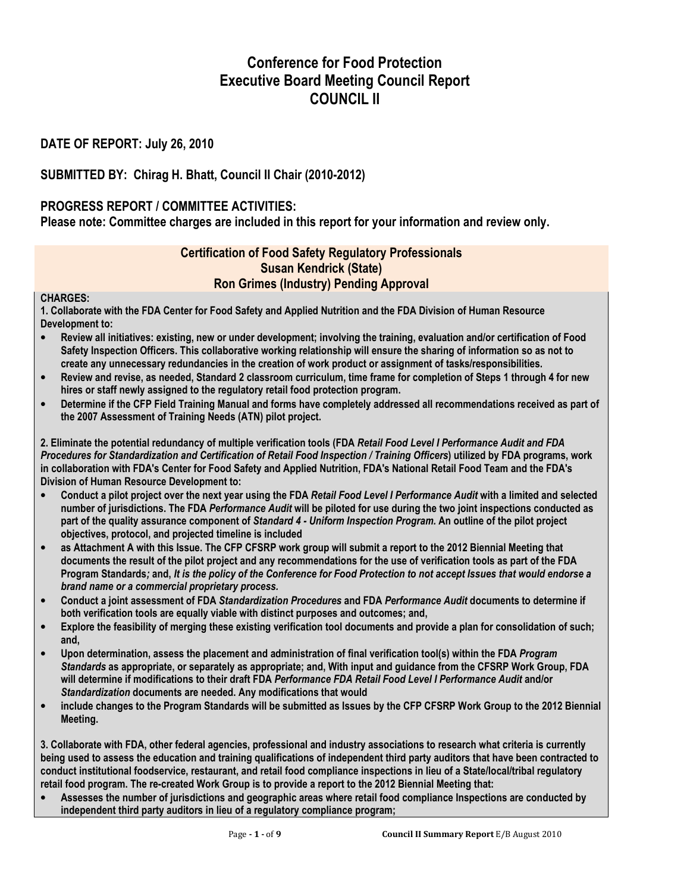# Conference for Food Protection Executive Board Meeting Council Report COUNCIL II

## DATE OF REPORT: July 26, 2010

## SUBMITTED BY: Chirag H. Bhatt, Council II Chair (2010-2012)

### PROGRESS REPORT / COMMITTEE ACTIVITIES:

Please note: Committee charges are included in this report for your information and review only.

### Certification of Food Safety Regulatory Professionals Susan Kendrick (State) Ron Grimes (Industry) Pending Approval

#### CHARGES:

1. Collaborate with the FDA Center for Food Safety and Applied Nutrition and the FDA Division of Human Resource Development to:

- Review all initiatives: existing, new or under development; involving the training, evaluation and/or certification of Food Safety Inspection Officers. This collaborative working relationship will ensure the sharing of information so as not to create any unnecessary redundancies in the creation of work product or assignment of tasks/responsibilities.
- Review and revise, as needed, Standard 2 classroom curriculum, time frame for completion of Steps 1 through 4 for new hires or staff newly assigned to the regulatory retail food protection program.
- Determine if the CFP Field Training Manual and forms have completely addressed all recommendations received as part of the 2007 Assessment of Training Needs (ATN) pilot project.

2. Eliminate the potential redundancy of multiple verification tools (FDA Retail Food Level I Performance Audit and FDA Procedures for Standardization and Certification of Retail Food Inspection / Training Officers) utilized by FDA programs, work in collaboration with FDA's Center for Food Safety and Applied Nutrition, FDA's National Retail Food Team and the FDA's Division of Human Resource Development to:

- Conduct a pilot project over the next year using the FDA Retail Food Level I Performance Audit with a limited and selected number of jurisdictions. The FDA Performance Audit will be piloted for use during the two joint inspections conducted as part of the quality assurance component of Standard 4 - Uniform Inspection Program. An outline of the pilot project objectives, protocol, and projected timeline is included
- as Attachment A with this Issue. The CFP CFSRP work group will submit a report to the 2012 Biennial Meeting that documents the result of the pilot project and any recommendations for the use of verification tools as part of the FDA Program Standards; and, It is the policy of the Conference for Food Protection to not accept Issues that would endorse a brand name or a commercial proprietary process.
- Conduct a joint assessment of FDA Standardization Procedures and FDA Performance Audit documents to determine if both verification tools are equally viable with distinct purposes and outcomes; and,
- Explore the feasibility of merging these existing verification tool documents and provide a plan for consolidation of such; and,
- Upon determination, assess the placement and administration of final verification tool(s) within the FDA Program Standards as appropriate, or separately as appropriate; and, With input and guidance from the CFSRP Work Group, FDA will determine if modifications to their draft FDA Performance FDA Retail Food Level I Performance Audit and/or Standardization documents are needed. Any modifications that would
- include changes to the Program Standards will be submitted as Issues by the CFP CFSRP Work Group to the 2012 Biennial Meeting.

3. Collaborate with FDA, other federal agencies, professional and industry associations to research what criteria is currently being used to assess the education and training qualifications of independent third party auditors that have been contracted to conduct institutional foodservice, restaurant, and retail food compliance inspections in lieu of a State/local/tribal regulatory retail food program. The re-created Work Group is to provide a report to the 2012 Biennial Meeting that:

• Assesses the number of jurisdictions and geographic areas where retail food compliance Inspections are conducted by independent third party auditors in lieu of a regulatory compliance program;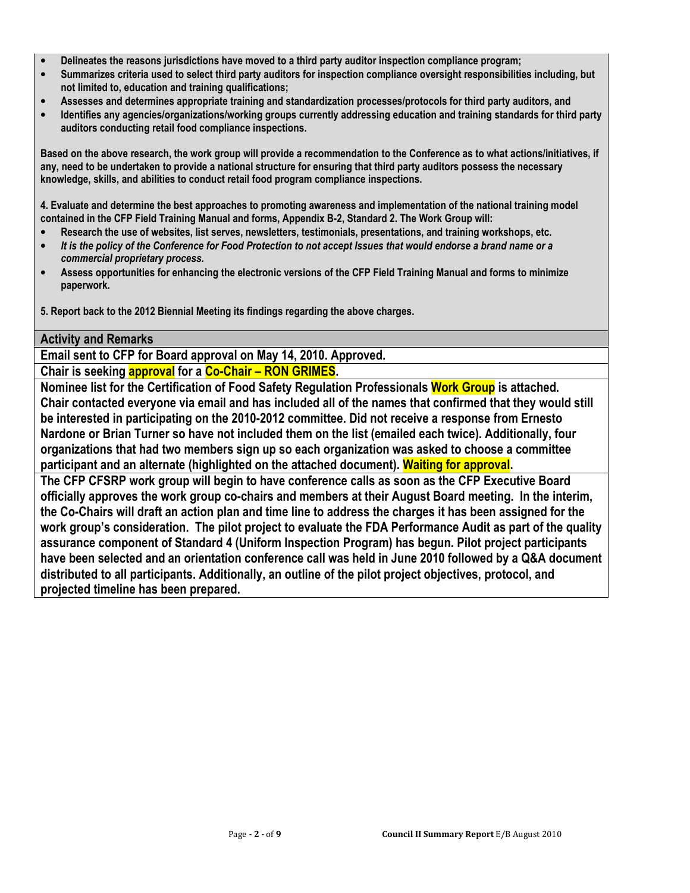- Delineates the reasons jurisdictions have moved to a third party auditor inspection compliance program;
- Summarizes criteria used to select third party auditors for inspection compliance oversight responsibilities including, but not limited to, education and training qualifications;
- Assesses and determines appropriate training and standardization processes/protocols for third party auditors, and
- Identifies any agencies/organizations/working groups currently addressing education and training standards for third party auditors conducting retail food compliance inspections.

Based on the above research, the work group will provide a recommendation to the Conference as to what actions/initiatives, if any, need to be undertaken to provide a national structure for ensuring that third party auditors possess the necessary knowledge, skills, and abilities to conduct retail food program compliance inspections.

4. Evaluate and determine the best approaches to promoting awareness and implementation of the national training model contained in the CFP Field Training Manual and forms, Appendix B-2, Standard 2. The Work Group will:

- Research the use of websites, list serves, newsletters, testimonials, presentations, and training workshops, etc.
- It is the policy of the Conference for Food Protection to not accept Issues that would endorse a brand name or a commercial proprietary process.
- Assess opportunities for enhancing the electronic versions of the CFP Field Training Manual and forms to minimize paperwork.

5. Report back to the 2012 Biennial Meeting its findings regarding the above charges.

#### Activity and Remarks

Email sent to CFP for Board approval on May 14, 2010. Approved.

Chair is seeking **approval** for a **Co-Chair – RON GRIMES**.

Nominee list for the Certification of Food Safety Regulation Professionals Work Group is attached. Chair contacted everyone via email and has included all of the names that confirmed that they would still be interested in participating on the 2010-2012 committee. Did not receive a response from Ernesto Nardone or Brian Turner so have not included them on the list (emailed each twice). Additionally, four organizations that had two members sign up so each organization was asked to choose a committee participant and an alternate (highlighted on the attached document). Waiting for approval.

The CFP CFSRP work group will begin to have conference calls as soon as the CFP Executive Board officially approves the work group co-chairs and members at their August Board meeting. In the interim, the Co-Chairs will draft an action plan and time line to address the charges it has been assigned for the work group's consideration. The pilot project to evaluate the FDA Performance Audit as part of the quality assurance component of Standard 4 (Uniform Inspection Program) has begun. Pilot project participants have been selected and an orientation conference call was held in June 2010 followed by a Q&A document distributed to all participants. Additionally, an outline of the pilot project objectives, protocol, and projected timeline has been prepared.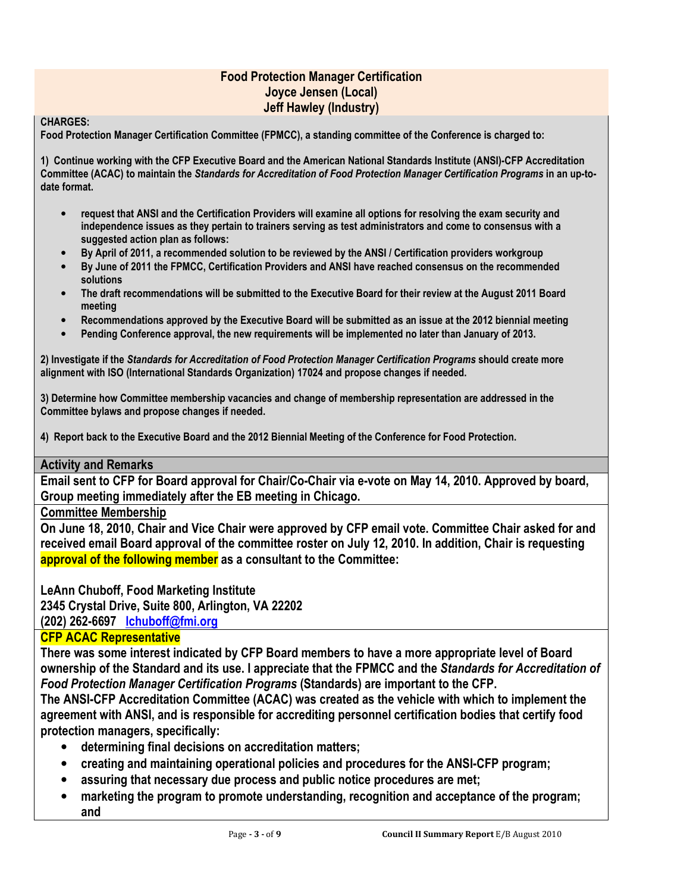## Food Protection Manager Certification Joyce Jensen (Local) Jeff Hawley (Industry)

#### CHARGES:

Food Protection Manager Certification Committee (FPMCC), a standing committee of the Conference is charged to:

1) Continue working with the CFP Executive Board and the American National Standards Institute (ANSI)-CFP Accreditation Committee (ACAC) to maintain the Standards for Accreditation of Food Protection Manager Certification Programs in an up-todate format.

- request that ANSI and the Certification Providers will examine all options for resolving the exam security and independence issues as they pertain to trainers serving as test administrators and come to consensus with a suggested action plan as follows:
- By April of 2011, a recommended solution to be reviewed by the ANSI / Certification providers workgroup
- By June of 2011 the FPMCC, Certification Providers and ANSI have reached consensus on the recommended solutions
- The draft recommendations will be submitted to the Executive Board for their review at the August 2011 Board meeting
- Recommendations approved by the Executive Board will be submitted as an issue at the 2012 biennial meeting
- Pending Conference approval, the new requirements will be implemented no later than January of 2013.

2) Investigate if the Standards for Accreditation of Food Protection Manager Certification Programs should create more alignment with ISO (International Standards Organization) 17024 and propose changes if needed.

3) Determine how Committee membership vacancies and change of membership representation are addressed in the Committee bylaws and propose changes if needed.

4) Report back to the Executive Board and the 2012 Biennial Meeting of the Conference for Food Protection.

#### Activity and Remarks

Email sent to CFP for Board approval for Chair/Co-Chair via e-vote on May 14, 2010. Approved by board, Group meeting immediately after the EB meeting in Chicago.

Committee Membership

On June 18, 2010, Chair and Vice Chair were approved by CFP email vote. Committee Chair asked for and received email Board approval of the committee roster on July 12, 2010. In addition, Chair is requesting approval of the following member as a consultant to the Committee:

LeAnn Chuboff, Food Marketing Institute 2345 Crystal Drive, Suite 800, Arlington, VA 22202 (202) 262-6697 lchuboff@fmi.org

### CFP ACAC Representative

There was some interest indicated by CFP Board members to have a more appropriate level of Board ownership of the Standard and its use. I appreciate that the FPMCC and the Standards for Accreditation of Food Protection Manager Certification Programs (Standards) are important to the CFP.

The ANSI-CFP Accreditation Committee (ACAC) was created as the vehicle with which to implement the agreement with ANSI, and is responsible for accrediting personnel certification bodies that certify food protection managers, specifically:

- determining final decisions on accreditation matters;
- creating and maintaining operational policies and procedures for the ANSI-CFP program;
- assuring that necessary due process and public notice procedures are met;
- marketing the program to promote understanding, recognition and acceptance of the program; and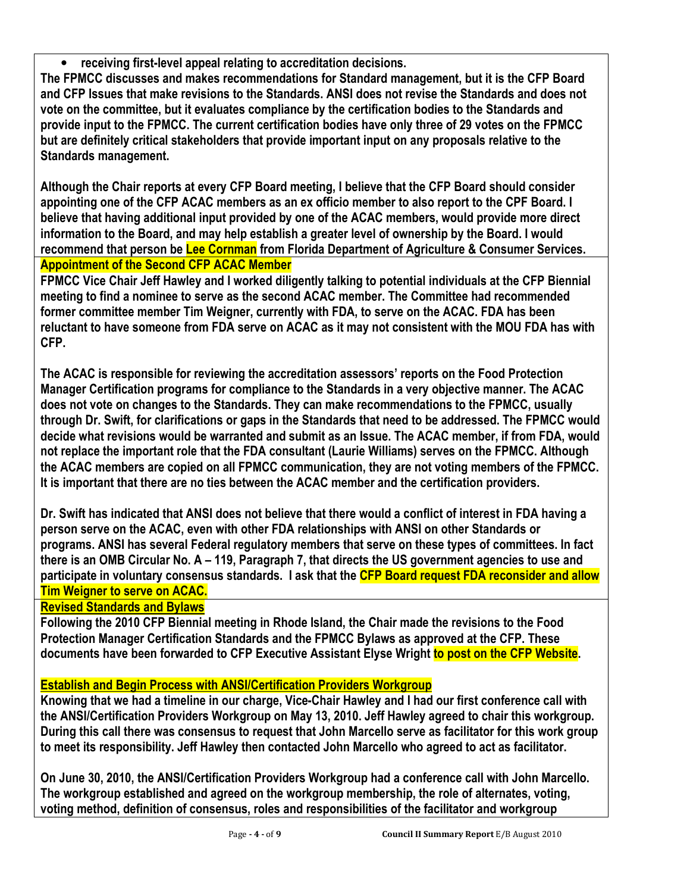• receiving first-level appeal relating to accreditation decisions.

The FPMCC discusses and makes recommendations for Standard management, but it is the CFP Board and CFP Issues that make revisions to the Standards. ANSI does not revise the Standards and does not vote on the committee, but it evaluates compliance by the certification bodies to the Standards and provide input to the FPMCC. The current certification bodies have only three of 29 votes on the FPMCC but are definitely critical stakeholders that provide important input on any proposals relative to the Standards management.

Although the Chair reports at every CFP Board meeting, I believe that the CFP Board should consider appointing one of the CFP ACAC members as an ex officio member to also report to the CPF Board. I believe that having additional input provided by one of the ACAC members, would provide more direct information to the Board, and may help establish a greater level of ownership by the Board. I would recommend that person be Lee Cornman from Florida Department of Agriculture & Consumer Services. Appointment of the Second CFP ACAC Member

FPMCC Vice Chair Jeff Hawley and I worked diligently talking to potential individuals at the CFP Biennial meeting to find a nominee to serve as the second ACAC member. The Committee had recommended former committee member Tim Weigner, currently with FDA, to serve on the ACAC. FDA has been reluctant to have someone from FDA serve on ACAC as it may not consistent with the MOU FDA has with CFP.

The ACAC is responsible for reviewing the accreditation assessors' reports on the Food Protection Manager Certification programs for compliance to the Standards in a very objective manner. The ACAC does not vote on changes to the Standards. They can make recommendations to the FPMCC, usually through Dr. Swift, for clarifications or gaps in the Standards that need to be addressed. The FPMCC would decide what revisions would be warranted and submit as an Issue. The ACAC member, if from FDA, would not replace the important role that the FDA consultant (Laurie Williams) serves on the FPMCC. Although the ACAC members are copied on all FPMCC communication, they are not voting members of the FPMCC. It is important that there are no ties between the ACAC member and the certification providers.

Dr. Swift has indicated that ANSI does not believe that there would a conflict of interest in FDA having a person serve on the ACAC, even with other FDA relationships with ANSI on other Standards or programs. ANSI has several Federal regulatory members that serve on these types of committees. In fact there is an OMB Circular No. A – 119, Paragraph 7, that directs the US government agencies to use and participate in voluntary consensus standards. I ask that the CFP Board request FDA reconsider and allow Tim Weigner to serve on ACAC.

## Revised Standards and Bylaws

Following the 2010 CFP Biennial meeting in Rhode Island, the Chair made the revisions to the Food Protection Manager Certification Standards and the FPMCC Bylaws as approved at the CFP. These documents have been forwarded to CFP Executive Assistant Elyse Wright to post on the CFP Website.

## Establish and Begin Process with ANSI/Certification Providers Workgroup

Knowing that we had a timeline in our charge, Vice-Chair Hawley and I had our first conference call with the ANSI/Certification Providers Workgroup on May 13, 2010. Jeff Hawley agreed to chair this workgroup. During this call there was consensus to request that John Marcello serve as facilitator for this work group to meet its responsibility. Jeff Hawley then contacted John Marcello who agreed to act as facilitator.

On June 30, 2010, the ANSI/Certification Providers Workgroup had a conference call with John Marcello. The workgroup established and agreed on the workgroup membership, the role of alternates, voting, voting method, definition of consensus, roles and responsibilities of the facilitator and workgroup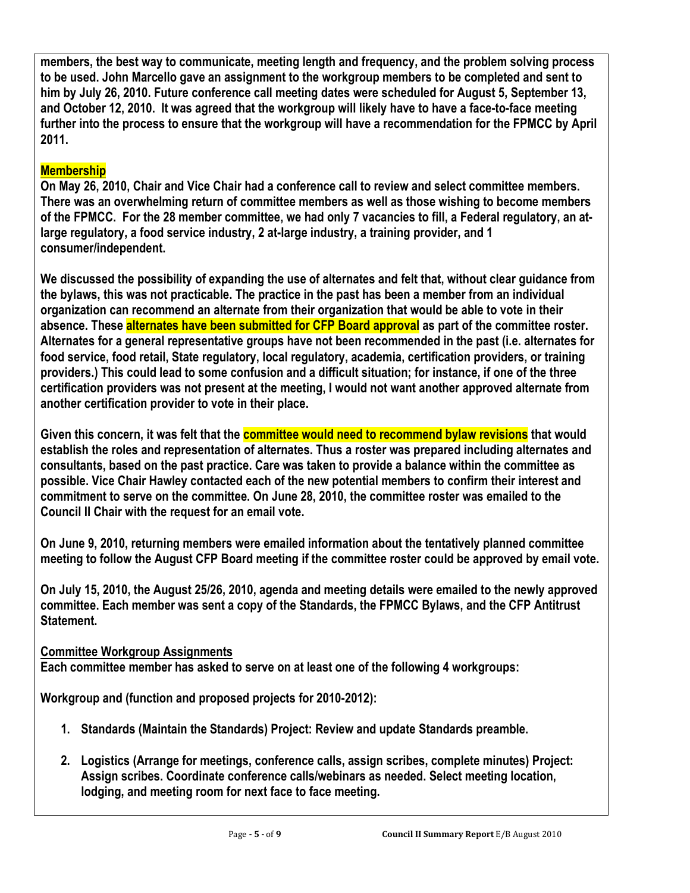members, the best way to communicate, meeting length and frequency, and the problem solving process to be used. John Marcello gave an assignment to the workgroup members to be completed and sent to him by July 26, 2010. Future conference call meeting dates were scheduled for August 5, September 13, and October 12, 2010. It was agreed that the workgroup will likely have to have a face-to-face meeting further into the process to ensure that the workgroup will have a recommendation for the FPMCC by April 2011.

## **Membership**

On May 26, 2010, Chair and Vice Chair had a conference call to review and select committee members. There was an overwhelming return of committee members as well as those wishing to become members of the FPMCC. For the 28 member committee, we had only 7 vacancies to fill, a Federal regulatory, an atlarge regulatory, a food service industry, 2 at-large industry, a training provider, and 1 consumer/independent.

We discussed the possibility of expanding the use of alternates and felt that, without clear guidance from the bylaws, this was not practicable. The practice in the past has been a member from an individual organization can recommend an alternate from their organization that would be able to vote in their absence. These alternates have been submitted for CFP Board approval as part of the committee roster. Alternates for a general representative groups have not been recommended in the past (i.e. alternates for food service, food retail, State regulatory, local regulatory, academia, certification providers, or training providers.) This could lead to some confusion and a difficult situation; for instance, if one of the three certification providers was not present at the meeting, I would not want another approved alternate from another certification provider to vote in their place.

Given this concern, it was felt that the **committee would need to recommend bylaw revisions** that would establish the roles and representation of alternates. Thus a roster was prepared including alternates and consultants, based on the past practice. Care was taken to provide a balance within the committee as possible. Vice Chair Hawley contacted each of the new potential members to confirm their interest and commitment to serve on the committee. On June 28, 2010, the committee roster was emailed to the Council II Chair with the request for an email vote.

On June 9, 2010, returning members were emailed information about the tentatively planned committee meeting to follow the August CFP Board meeting if the committee roster could be approved by email vote.

On July 15, 2010, the August 25/26, 2010, agenda and meeting details were emailed to the newly approved committee. Each member was sent a copy of the Standards, the FPMCC Bylaws, and the CFP Antitrust Statement.

## Committee Workgroup Assignments

Each committee member has asked to serve on at least one of the following 4 workgroups:

Workgroup and (function and proposed projects for 2010-2012):

- 1. Standards (Maintain the Standards) Project: Review and update Standards preamble.
- 2. Logistics (Arrange for meetings, conference calls, assign scribes, complete minutes) Project: Assign scribes. Coordinate conference calls/webinars as needed. Select meeting location, lodging, and meeting room for next face to face meeting.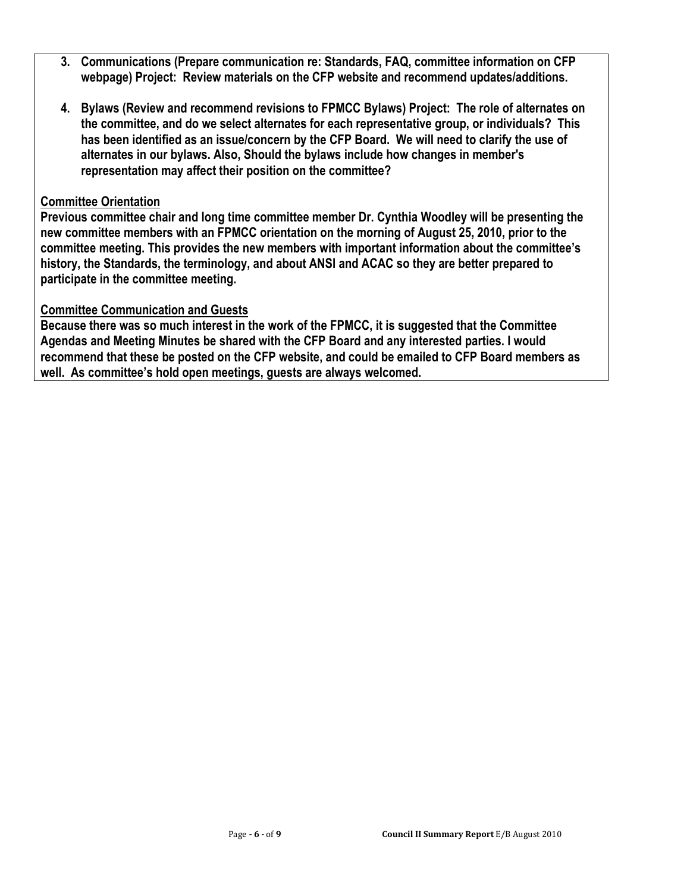- 3. Communications (Prepare communication re: Standards, FAQ, committee information on CFP webpage) Project: Review materials on the CFP website and recommend updates/additions.
- 4. Bylaws (Review and recommend revisions to FPMCC Bylaws) Project: The role of alternates on the committee, and do we select alternates for each representative group, or individuals? This has been identified as an issue/concern by the CFP Board. We will need to clarify the use of alternates in our bylaws. Also, Should the bylaws include how changes in member's representation may affect their position on the committee?

## Committee Orientation

Previous committee chair and long time committee member Dr. Cynthia Woodley will be presenting the new committee members with an FPMCC orientation on the morning of August 25, 2010, prior to the committee meeting. This provides the new members with important information about the committee's history, the Standards, the terminology, and about ANSI and ACAC so they are better prepared to participate in the committee meeting.

## Committee Communication and Guests

Because there was so much interest in the work of the FPMCC, it is suggested that the Committee Agendas and Meeting Minutes be shared with the CFP Board and any interested parties. I would recommend that these be posted on the CFP website, and could be emailed to CFP Board members as well. As committee's hold open meetings, guests are always welcomed.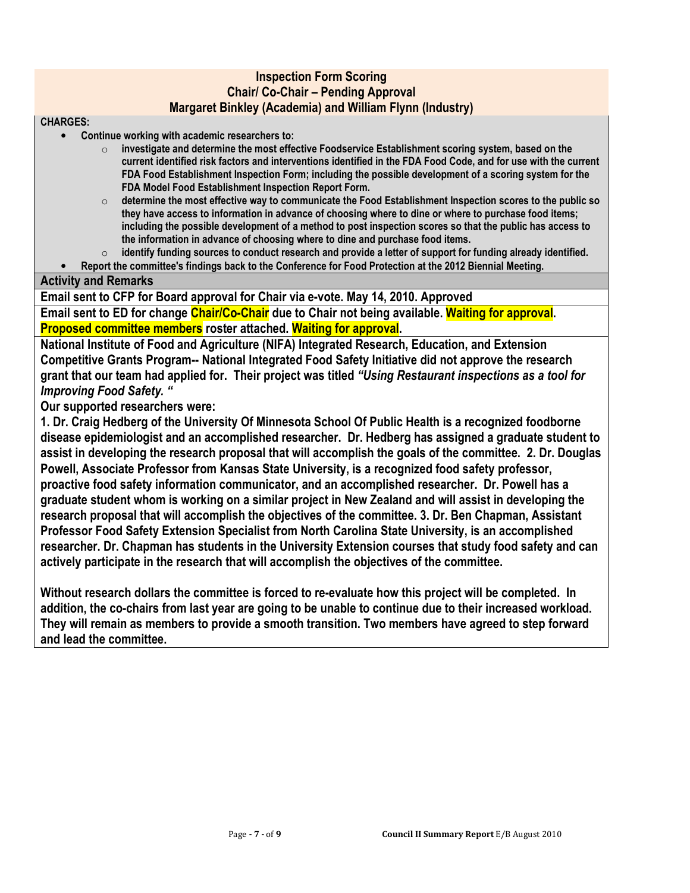### Inspection Form Scoring Chair/ Co-Chair – Pending Approval Margaret Binkley (Academia) and William Flynn (Industry)

#### CHARGES:

- Continue working with academic researchers to:
	- $\circ$  investigate and determine the most effective Foodservice Establishment scoring system, based on the current identified risk factors and interventions identified in the FDA Food Code, and for use with the current FDA Food Establishment Inspection Form; including the possible development of a scoring system for the FDA Model Food Establishment Inspection Report Form.
	- $\circ$  determine the most effective way to communicate the Food Establishment Inspection scores to the public so they have access to information in advance of choosing where to dine or where to purchase food items; including the possible development of a method to post inspection scores so that the public has access to the information in advance of choosing where to dine and purchase food items.
	- $\circ$  identify funding sources to conduct research and provide a letter of support for funding already identified.

• Report the committee's findings back to the Conference for Food Protection at the 2012 Biennial Meeting.

### Activity and Remarks

Email sent to CFP for Board approval for Chair via e-vote. May 14, 2010. Approved

Email sent to ED for change Chair/Co-Chair due to Chair not being available. Waiting for approval. Proposed committee members roster attached. Waiting for approval.

National Institute of Food and Agriculture (NIFA) Integrated Research, Education, and Extension Competitive Grants Program-- National Integrated Food Safety Initiative did not approve the research grant that our team had applied for. Their project was titled "Using Restaurant inspections as a tool for Improving Food Safety. "

Our supported researchers were:

1. Dr. Craig Hedberg of the University Of Minnesota School Of Public Health is a recognized foodborne disease epidemiologist and an accomplished researcher. Dr. Hedberg has assigned a graduate student to assist in developing the research proposal that will accomplish the goals of the committee. 2. Dr. Douglas Powell, Associate Professor from Kansas State University, is a recognized food safety professor, proactive food safety information communicator, and an accomplished researcher. Dr. Powell has a graduate student whom is working on a similar project in New Zealand and will assist in developing the research proposal that will accomplish the objectives of the committee. 3. Dr. Ben Chapman, Assistant Professor Food Safety Extension Specialist from North Carolina State University, is an accomplished researcher. Dr. Chapman has students in the University Extension courses that study food safety and can actively participate in the research that will accomplish the objectives of the committee.

Without research dollars the committee is forced to re-evaluate how this project will be completed. In addition, the co-chairs from last year are going to be unable to continue due to their increased workload. They will remain as members to provide a smooth transition. Two members have agreed to step forward and lead the committee.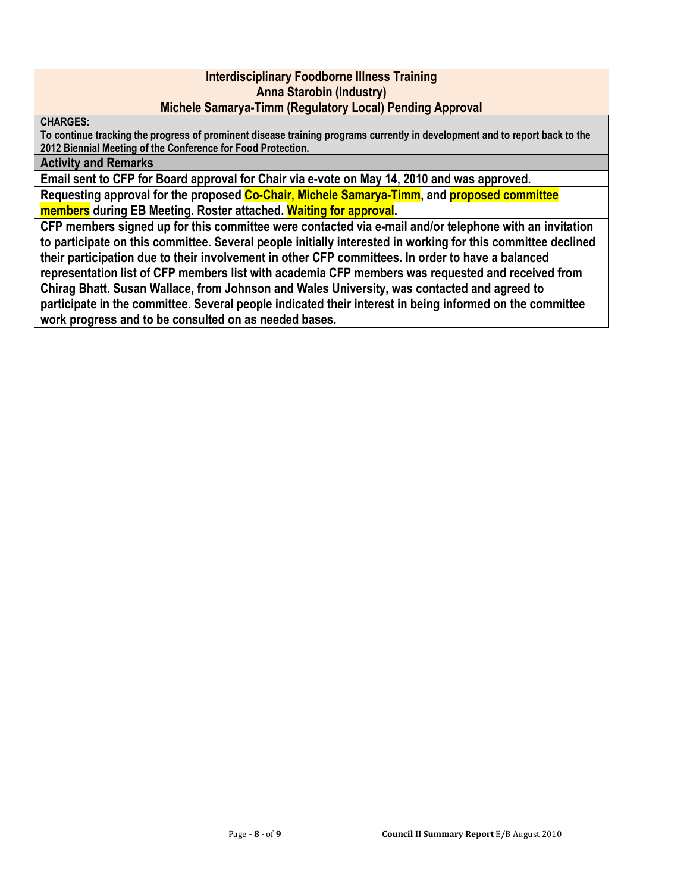### Interdisciplinary Foodborne Illness Training Anna Starobin (Industry) Michele Samarya-Timm (Regulatory Local) Pending Approval

CHARGES:

To continue tracking the progress of prominent disease training programs currently in development and to report back to the 2012 Biennial Meeting of the Conference for Food Protection.

#### Activity and Remarks

Email sent to CFP for Board approval for Chair via e-vote on May 14, 2010 and was approved. Requesting approval for the proposed Co-Chair, Michele Samarya-Timm, and proposed committee members during EB Meeting. Roster attached. Waiting for approval.

CFP members signed up for this committee were contacted via e-mail and/or telephone with an invitation to participate on this committee. Several people initially interested in working for this committee declined their participation due to their involvement in other CFP committees. In order to have a balanced representation list of CFP members list with academia CFP members was requested and received from Chirag Bhatt. Susan Wallace, from Johnson and Wales University, was contacted and agreed to participate in the committee. Several people indicated their interest in being informed on the committee work progress and to be consulted on as needed bases.